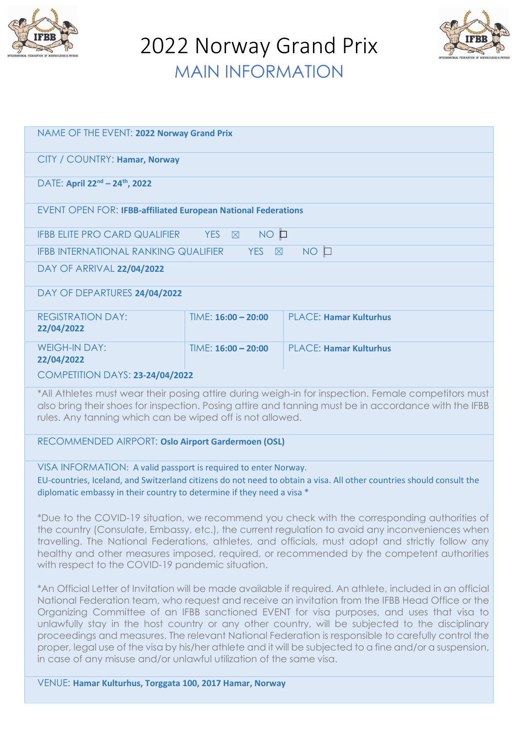

2022 Norway Grand Prix MAIN INFORMATION



| NAME OF THE EVENT: 2022 Norway Grand Prix                                                                                                                                                                                                                                |                       |                               |
|--------------------------------------------------------------------------------------------------------------------------------------------------------------------------------------------------------------------------------------------------------------------------|-----------------------|-------------------------------|
| CITY / COUNTRY: Hamar, Norway                                                                                                                                                                                                                                            |                       |                               |
| DATE: April 22 <sup>nd</sup> - 24 <sup>th</sup> , 2022                                                                                                                                                                                                                   |                       |                               |
| <b>EVENT OPEN FOR: IFBB-affiliated European National Federations</b>                                                                                                                                                                                                     |                       |                               |
| NO O<br>YES <b>X</b><br>IFBB ELITE PRO CARD QUALIFIER                                                                                                                                                                                                                    |                       |                               |
| $NO$ $\Box$<br><b>IFBB INTERNATIONAL RANKING QUALIFIER</b><br>YES $\boxtimes$                                                                                                                                                                                            |                       |                               |
| DAY OF ARRIVAL 22/04/2022                                                                                                                                                                                                                                                |                       |                               |
| DAY OF DEPARTURES 24/04/2022                                                                                                                                                                                                                                             |                       |                               |
| <b>REGISTRATION DAY:</b><br>22/04/2022                                                                                                                                                                                                                                   | $TIME: 16:00 - 20:00$ | <b>PLACE: Hamar Kulturhus</b> |
| <b>WEIGH-IN DAY:</b><br>22/04/2022                                                                                                                                                                                                                                       | $TIME: 16:00 - 20:00$ | <b>PLACE: Hamar Kulturhus</b> |
| <b>COMPETITION DAYS: 23-24/04/2022</b>                                                                                                                                                                                                                                   |                       |                               |
| *All Athletes must wear their posing attire during weigh-in for inspection. Female competitors must<br>also bring their shoes for inspection. Posing attire and tanning must be in accordance with the IFBB<br>rules. Any tanning which can be wiped off is not allowed. |                       |                               |
| RECOMMENDED AIRPORT: Oslo Airport Gardermoen (OSL)                                                                                                                                                                                                                       |                       |                               |
| VISA INFORMATION: A valid passport is required to enter Norway.<br>EU-countries, Iceland, and Switzerland citizens do not need to obtain a visa. All other countries should consult the<br>diplomatic embassy in their country to determine if they need a visa *        |                       |                               |

\*Due to the COVID-19 situation, we recommend you check with the corresponding authorities of the country (Consulate, Embassy, etc.), the current regulation to avoid any inconveniences when travelling. The National Federations, athletes, and officials, must adopt and strictly follow any healthy and other measures imposed, required, or recommended by the competent authorities with respect to the COVID-19 pandemic situation.

\*An Official Letter of Invitation will be made available if required. An athlete, included in an official National Federation team, who request and receive an invitation from the IFBB Head Office or the Organizing Committee of an IFBB sanctioned EVENT for visa purposes, and uses that visa to unlawfully stay in the host country or any other country, will be subjected to the disciplinary proceedings and measures. The relevant National Federation is responsible to carefully control the proper, legal use of the visa by his/her athlete and it will be subjected to a fine and/or a suspension, in case of any misuse and/or unlawful utilization of the same visa.

VENUE: **Hamar Kulturhus, Torggata 100, 2017 Hamar, Norway**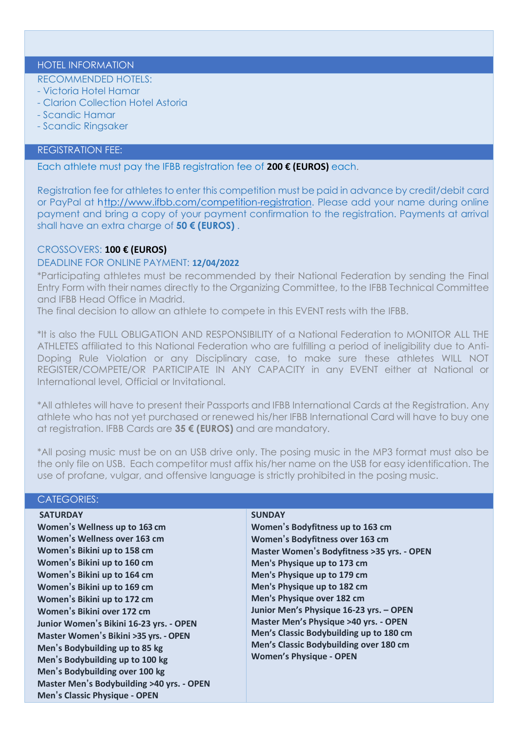## HOTEL INFORMATION

## RECOMMENDED HOTELS:

- Victoria Hotel Hamar
- Clarion Collection Hotel Astoria
- Scandic Hamar
- Scandic Ringsaker

## REGISTRATION FEE:

Each athlete must pay the IFBB registration fee of **200 € (EUROS)** each.

Registration fee for athletes to enter this competition must be paid in advance by credit/debit card or PayPal at http:/[/www.ifbb.com/competition-registration. P](http://www.ifbb.com/competition-registration)lease add your name during online payment and bring a copy of your payment confirmation to the registration. Payments at arrival shall have an extra charge of **50 € (EUROS)** .

## CROSSOVERS: **100 € (EUROS)**

## DEADLINE FOR ONLINE PAYMENT: **12/04/2022**

\*Participating athletes must be recommended by their National Federation by sending the Final Entry Form with their names directly to the Organizing Committee, to the IFBB Technical Committee and IFBB Head Office in Madrid.

The final decision to allow an athlete to compete in this EVENT rests with the IFBB.

\*It is also the FULL OBLIGATION AND RESPONSIBILITY of a National Federation to MONITOR ALL THE ATHLETES affiliated to this National Federation who are fulfilling a period of ineligibility due to Anti-Doping Rule Violation or any Disciplinary case, to make sure these athletes WILL NOT REGISTER/COMPETE/OR PARTICIPATE IN ANY CAPACITY in any EVENT either at National or International level, Official or Invitational.

\*All athletes will have to present their Passports and IFBB International Cards at the Registration. Any athlete who has not yet purchased or renewed his/her IFBB International Card will have to buy one at registration. IFBB Cards are **35 € (EUROS)** and are mandatory.

\*All posing music must be on an USB drive only. The posing music in the MP3 format must also be the only file on USB. Each competitor must affix his/her name on the USB for easy identification. The use of profane, vulgar, and offensive language is strictly prohibited in the posing music.

## CATEGORIES:

**SATURDAY Women's Wellness up to 163 cm Women's Wellness over 163 cm Women's Bikini up to 158 cm Women's Bikini up to 160 cm Women's Bikini up to 164 cm Women's Bikini up to 169 cm Women's Bikini up to 172 cm Women's Bikini over 172 cm Junior Women's Bikini 16-23 yrs. - OPEN Master Women's Bikini >35 yrs. - OPEN Men's Bodybuilding up to 85 kg Men's Bodybuilding up to 100 kg Men's Bodybuilding over 100 kg Master Men's Bodybuilding >40 yrs. - OPEN Men's Classic Physique - OPEN**

#### **SUNDAY**

**Women's Bodyfitness up to 163 cm Women's Bodyfitness over 163 cm Master Women's Bodyfitness >35 yrs. - OPEN Men's Physique up to 173 cm Men's Physique up to 179 cm Men's Physique up to 182 cm Men's Physique over 182 cm Junior Men's Physique 16-23 yrs. – OPEN Master Men's Physique >40 yrs. - OPEN Men's Classic Bodybuilding up to 180 cm Men's Classic Bodybuilding over 180 cm Women's Physique - OPEN**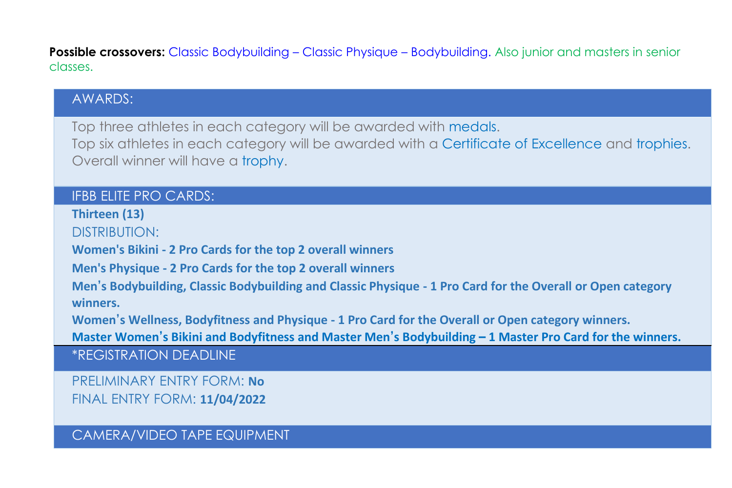**Possible crossovers:** Classic Bodybuilding – Classic Physique – Bodybuilding. Also junior and masters in senior classes.

## AWARDS:

Top three athletes in each category will be awarded with medals. Top six athletes in each category will be awarded with a Certificate of Excellence and trophies. Overall winner will have a trophy.

### IFBB ELITE PRO CARDS:

**Thirteen (13)**

DISTRIBUTION:

**Women's Bikini - 2 Pro Cards for the top 2 overall winners**

**Men's Physique - 2 Pro Cards for the top 2 overall winners**

**Men's Bodybuilding, Classic Bodybuilding and Classic Physique - 1 Pro Card for the Overall or Open category winners.**

**Women's Wellness, Bodyfitness and Physique - 1 Pro Card for the Overall or Open category winners.**

**Master Women's Bikini and Bodyfitness and Master Men's Bodybuilding – 1 Master Pro Card for the winners.**

\*REGISTRATION DEADLINE

PRELIMINARY ENTRY FORM: **No** FINAL ENTRY FORM: **11/04/2022**

CAMERA/VIDEO TAPE EQUIPMENT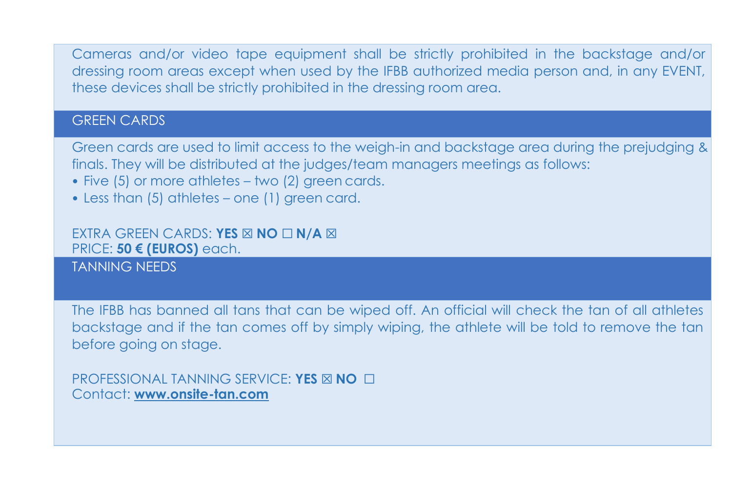Cameras and/or video tape equipment shall be strictly prohibited in the backstage and/or dressing room areas except when used by the IFBB authorized media person and, in any EVENT, these devices shall be strictly prohibited in the dressing room area.

### **GREEN CARDS**

Green cards are used to limit access to the weigh-in and backstage area during the prejudging & finals. They will be distributed at the judges/team managers meetings as follows:

- Five (5) or more athletes two (2) green cards.
- Less than (5) athletes one (1) green card.

#### EXTRA GREEN CARDS: **YES** ☒ **NO** ☐ **N/A** ☒ PRICE: **50 € (EUROS)** each.

TANNING NEEDS

The IFBB has banned all tans that can be wiped off. An official will check the tan of all athletes backstage and if the tan comes off by simply wiping, the athlete will be told to remove the tan before going on stage.

PROFESSIONAL TANNING SERVICE: **YES** ☒ **NO** ☐ Contact: **[www.onsite-tan.com](http://www.onsite-tan.com/)**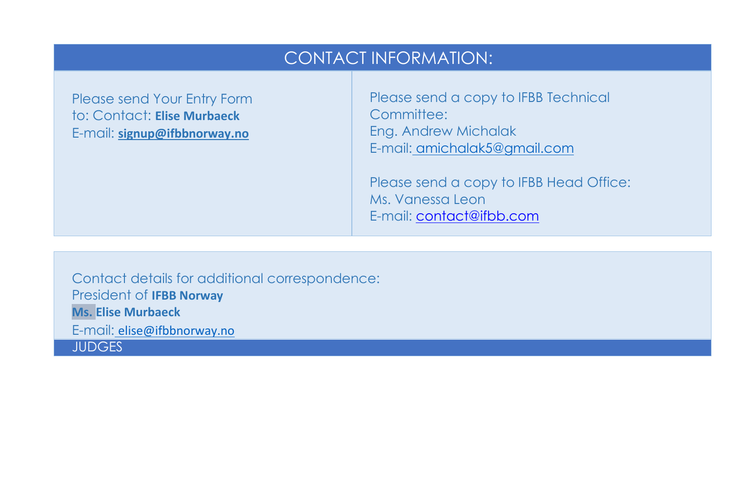# CONTACT INFORMATION:

Please send Your Entry Form to: Contact: **Elise Murbaeck** E-mail: **[signup@ifbbnorway.no](mailto:signup@ifbbnorway.no)**

Please send a copy to IFBB Technical Committee<sup>.</sup> Eng. Andrew Michalak E-mail: [amichalak5@gmail.com](mailto:amichalak5@gmail.com)

Please send a copy to IFBB Head Office: Ms. Vanessa Leon E-mail: [contact@ifbb.com](mailto:contact@ifbb.com)

Contact details for additional correspondence: President of **IFBB Norway Ms. Elise Murbaeck** E-mail: [elise@ifbbnorway.no](mailto:elise@ifbbnorway.no) **JUDGES**